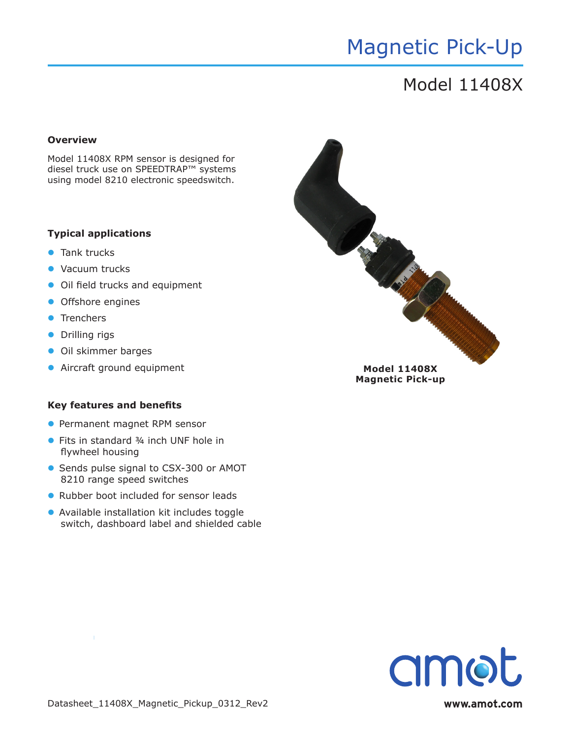## Magnetic Pick-Up

### Model 11408X

### **Overview**

Model 11408X RPM sensor is designed for diesel truck use on SPEEDTRAP™ systems using model 8210 electronic speedswitch.

### **Typical applications**

- $\bullet$  Tank trucks
- Vacuum trucks
- Oil field trucks and equipment
- **•** Offshore engines
- **•** Trenchers
- **•** Drilling rigs
- **•** Oil skimmer barges
- 

#### **Key features and benefits**

- **Permanent magnet RPM sensor**
- Fits in standard ¾ inch UNF hole in flywheel housing
- **Sends pulse signal to CSX-300 or AMOT** 8210 range speed switches
- Rubber boot included for sensor leads
- **•** Available installation kit includes toggle switch, dashboard label and shielded cable



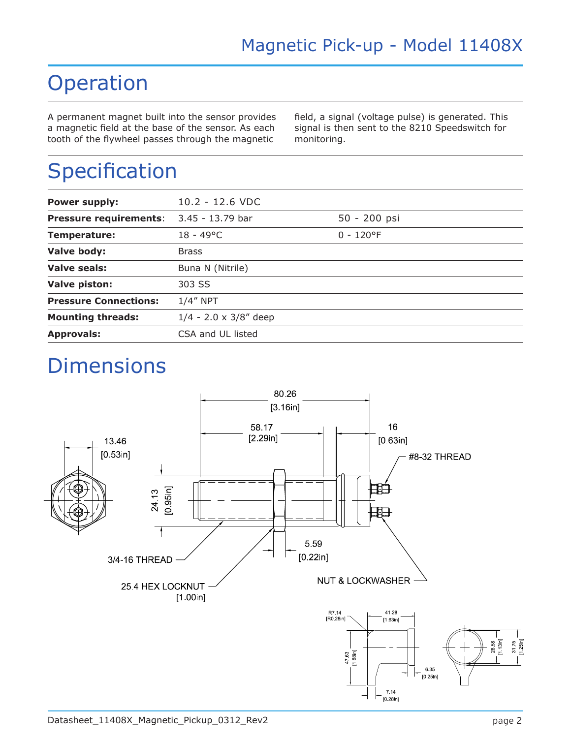### Operation

A permanent magnet built into the sensor provides a magnetic field at the base of the sensor. As each tooth of the flywheel passes through the magnetic

field, a signal (voltage pulse) is generated. This signal is then sent to the 8210 Speedswitch for monitoring.

# Specification

| <b>Power supply:</b>          | $10.2 - 12.6$ VDC             |              |
|-------------------------------|-------------------------------|--------------|
|                               |                               |              |
| <b>Pressure requirements:</b> | 3.45 - 13.79 bar              | 50 - 200 psi |
| Temperature:                  | $18 - 49^{\circ}$ C           | $0 - 120$ °F |
| Valve body:                   | <b>Brass</b>                  |              |
| Valve seals:                  | Buna N (Nitrile)              |              |
| <b>Valve piston:</b>          | 303 SS                        |              |
| <b>Pressure Connections:</b>  | $1/4''$ NPT                   |              |
| <b>Mounting threads:</b>      | $1/4 - 2.0 \times 3/8''$ deep |              |
| <b>Approvals:</b>             | CSA and UL listed             |              |
|                               |                               |              |

### **Dimensions**

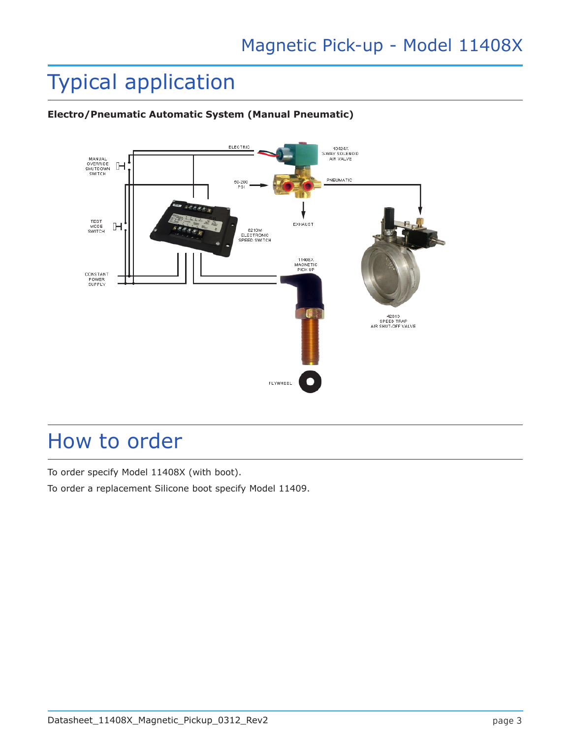## Typical application



### **Electro/Pneumatic Automatic System (Manual Pneumatic)**

### How to order

To order specify Model 11408X (with boot).

To order a replacement Silicone boot specify Model 11409.